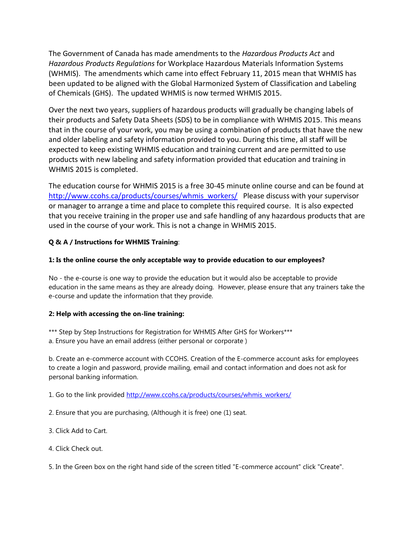The Government of Canada has made amendments to the *Hazardous Products Act* and *Hazardous Products Regulations* for Workplace Hazardous Materials Information Systems (WHMIS). The amendments which came into effect February 11, 2015 mean that WHMIS has been updated to be aligned with the Global Harmonized System of Classification and Labeling of Chemicals (GHS). The updated WHMIS is now termed WHMIS 2015.

Over the next two years, suppliers of hazardous products will gradually be changing labels of their products and Safety Data Sheets (SDS) to be in compliance with WHMIS 2015. This means that in the course of your work, you may be using a combination of products that have the new and older labeling and safety information provided to you. During this time, all staff will be expected to keep existing WHMIS education and training current and are permitted to use products with new labeling and safety information provided that education and training in WHMIS 2015 is completed.

The education course for WHMIS 2015 is a free 30-45 minute online course and can be found at [http://www.ccohs.ca/products/courses/whmis\\_workers/](http://www.ccohs.ca/products/courses/whmis_workers/) Please discuss with your supervisor or manager to arrange a time and place to complete this required course. It is also expected that you receive training in the proper use and safe handling of any hazardous products that are used in the course of your work. This is not a change in WHMIS 2015.

## **Q & A / Instructions for WHMIS Training**:

## **1: Is the online course the only acceptable way to provide education to our employees?**

No - the e-course is one way to provide the education but it would also be acceptable to provide education in the same means as they are already doing. However, please ensure that any trainers take the e-course and update the information that they provide.

## **2: Help with accessing the on-line training:**

\*\*\* Step by Step Instructions for Registration for WHMIS After GHS for Workers\*\*\* a. Ensure you have an email address (either personal or corporate )

b. Create an e-commerce account with CCOHS. Creation of the E-commerce account asks for employees to create a login and password, provide mailing, email and contact information and does not ask for personal banking information.

1. Go to the link provided [http://www.ccohs.ca/products/courses/whmis\\_workers/](http://www.ccohs.ca/products/courses/whmis_workers/)

2. Ensure that you are purchasing, (Although it is free) one (1) seat.

3. Click Add to Cart.

4. Click Check out.

5. In the Green box on the right hand side of the screen titled "E-commerce account" click "Create".